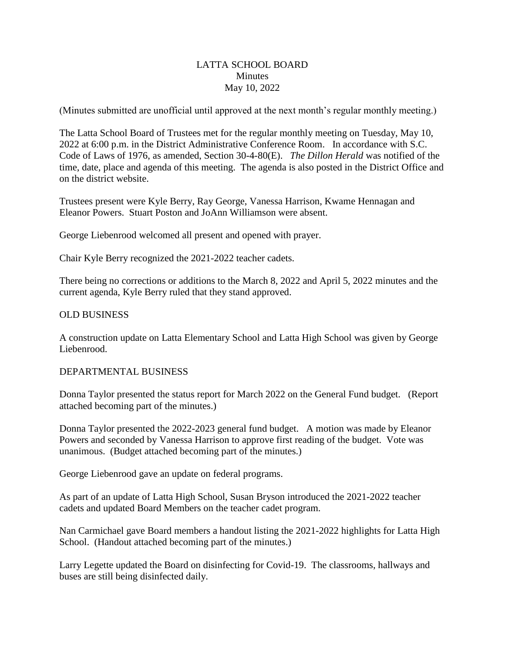## LATTA SCHOOL BOARD **Minutes** May 10, 2022

(Minutes submitted are unofficial until approved at the next month's regular monthly meeting.)

The Latta School Board of Trustees met for the regular monthly meeting on Tuesday, May 10, 2022 at 6:00 p.m. in the District Administrative Conference Room. In accordance with S.C. Code of Laws of 1976, as amended, Section 30-4-80(E). *The Dillon Herald* was notified of the time, date, place and agenda of this meeting. The agenda is also posted in the District Office and on the district website.

Trustees present were Kyle Berry, Ray George, Vanessa Harrison, Kwame Hennagan and Eleanor Powers. Stuart Poston and JoAnn Williamson were absent.

George Liebenrood welcomed all present and opened with prayer.

Chair Kyle Berry recognized the 2021-2022 teacher cadets.

There being no corrections or additions to the March 8, 2022 and April 5, 2022 minutes and the current agenda, Kyle Berry ruled that they stand approved.

## OLD BUSINESS

A construction update on Latta Elementary School and Latta High School was given by George Liebenrood.

#### DEPARTMENTAL BUSINESS

Donna Taylor presented the status report for March 2022 on the General Fund budget. (Report attached becoming part of the minutes.)

Donna Taylor presented the 2022-2023 general fund budget. A motion was made by Eleanor Powers and seconded by Vanessa Harrison to approve first reading of the budget. Vote was unanimous. (Budget attached becoming part of the minutes.)

George Liebenrood gave an update on federal programs.

As part of an update of Latta High School, Susan Bryson introduced the 2021-2022 teacher cadets and updated Board Members on the teacher cadet program.

Nan Carmichael gave Board members a handout listing the 2021-2022 highlights for Latta High School. (Handout attached becoming part of the minutes.)

Larry Legette updated the Board on disinfecting for Covid-19. The classrooms, hallways and buses are still being disinfected daily.